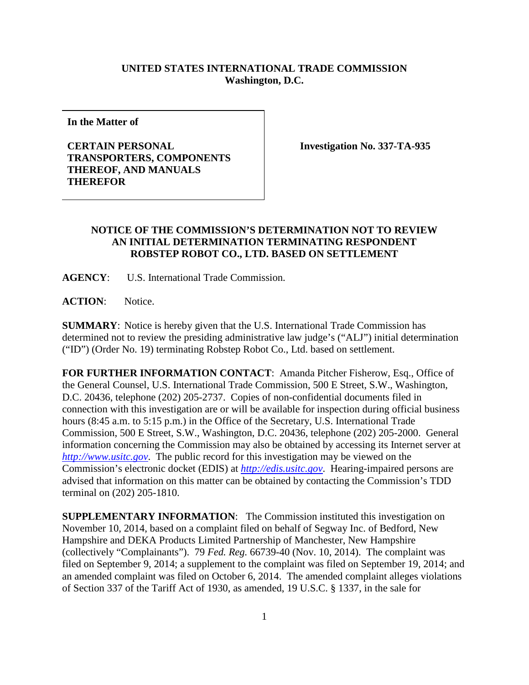## **UNITED STATES INTERNATIONAL TRADE COMMISSION Washington, D.C.**

**In the Matter of**

## **CERTAIN PERSONAL TRANSPORTERS, COMPONENTS THEREOF, AND MANUALS THEREFOR**

**Investigation No. 337-TA-935**

## **NOTICE OF THE COMMISSION'S DETERMINATION NOT TO REVIEW AN INITIAL DETERMINATION TERMINATING RESPONDENT ROBSTEP ROBOT CO., LTD. BASED ON SETTLEMENT**

**AGENCY**: U.S. International Trade Commission.

**ACTION**: Notice.

**SUMMARY**: Notice is hereby given that the U.S. International Trade Commission has determined not to review the presiding administrative law judge's ("ALJ") initial determination ("ID") (Order No. 19) terminating Robstep Robot Co., Ltd. based on settlement.

**FOR FURTHER INFORMATION CONTACT:** Amanda Pitcher Fisherow, Esq., Office of the General Counsel, U.S. International Trade Commission, 500 E Street, S.W., Washington, D.C. 20436, telephone (202) 205-2737. Copies of non-confidential documents filed in connection with this investigation are or will be available for inspection during official business hours (8:45 a.m. to 5:15 p.m.) in the Office of the Secretary, U.S. International Trade Commission, 500 E Street, S.W., Washington, D.C. 20436, telephone (202) 205-2000. General information concerning the Commission may also be obtained by accessing its Internet server at *[http://www.usitc.gov](http://www.usitc.gov/)*. The public record for this investigation may be viewed on the Commission's electronic docket (EDIS) at *[http://edis.usitc.gov](http://edis.usitc.gov/)*. Hearing-impaired persons are advised that information on this matter can be obtained by contacting the Commission's TDD terminal on (202) 205-1810.

**SUPPLEMENTARY INFORMATION**: The Commission instituted this investigation on November 10, 2014, based on a complaint filed on behalf of Segway Inc. of Bedford, New Hampshire and DEKA Products Limited Partnership of Manchester, New Hampshire (collectively "Complainants"). 79 *Fed. Reg.* 66739-40 (Nov. 10, 2014). The complaint was filed on September 9, 2014; a supplement to the complaint was filed on September 19, 2014; and an amended complaint was filed on October 6, 2014. The amended complaint alleges violations of Section 337 of the Tariff Act of 1930, as amended, 19 U.S.C. § 1337, in the sale for